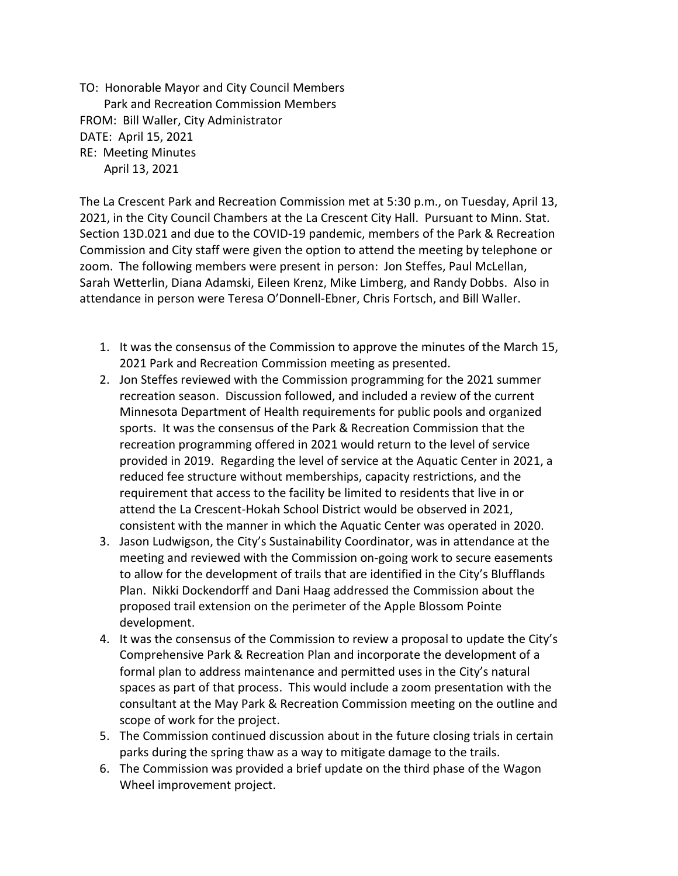TO: Honorable Mayor and City Council Members Park and Recreation Commission Members FROM: Bill Waller, City Administrator DATE: April 15, 2021 RE: Meeting Minutes April 13, 2021

The La Crescent Park and Recreation Commission met at 5:30 p.m., on Tuesday, April 13, 2021, in the City Council Chambers at the La Crescent City Hall. Pursuant to Minn. Stat. Section 13D.021 and due to the COVID-19 pandemic, members of the Park & Recreation Commission and City staff were given the option to attend the meeting by telephone or zoom. The following members were present in person: Jon Steffes, Paul McLellan, Sarah Wetterlin, Diana Adamski, Eileen Krenz, Mike Limberg, and Randy Dobbs. Also in attendance in person were Teresa O'Donnell-Ebner, Chris Fortsch, and Bill Waller.

- 1. It was the consensus of the Commission to approve the minutes of the March 15, 2021 Park and Recreation Commission meeting as presented.
- 2. Jon Steffes reviewed with the Commission programming for the 2021 summer recreation season. Discussion followed, and included a review of the current Minnesota Department of Health requirements for public pools and organized sports. It was the consensus of the Park & Recreation Commission that the recreation programming offered in 2021 would return to the level of service provided in 2019. Regarding the level of service at the Aquatic Center in 2021, a reduced fee structure without memberships, capacity restrictions, and the requirement that access to the facility be limited to residents that live in or attend the La Crescent-Hokah School District would be observed in 2021, consistent with the manner in which the Aquatic Center was operated in 2020.
- 3. Jason Ludwigson, the City's Sustainability Coordinator, was in attendance at the meeting and reviewed with the Commission on-going work to secure easements to allow for the development of trails that are identified in the City's Blufflands Plan. Nikki Dockendorff and Dani Haag addressed the Commission about the proposed trail extension on the perimeter of the Apple Blossom Pointe development.
- 4. It was the consensus of the Commission to review a proposal to update the City's Comprehensive Park & Recreation Plan and incorporate the development of a formal plan to address maintenance and permitted uses in the City's natural spaces as part of that process. This would include a zoom presentation with the consultant at the May Park & Recreation Commission meeting on the outline and scope of work for the project.
- 5. The Commission continued discussion about in the future closing trials in certain parks during the spring thaw as a way to mitigate damage to the trails.
- 6. The Commission was provided a brief update on the third phase of the Wagon Wheel improvement project.